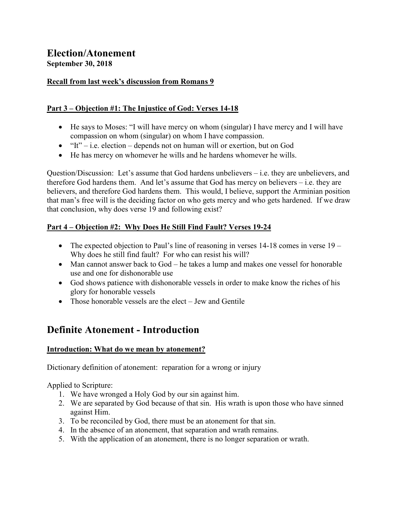# **Election/Atonement September 30, 2018**

### **Recall from last week's discussion from Romans 9**

## **Part 3 – Objection #1: The Injustice of God: Verses 14-18**

- He says to Moses: "I will have mercy on whom (singular) I have mercy and I will have compassion on whom (singular) on whom I have compassion.
- $\bullet$  "It" i.e. election depends not on human will or exertion, but on God
- He has mercy on whomever he wills and he hardens whomever he wills.

Question/Discussion: Let's assume that God hardens unbelievers – i.e. they are unbelievers, and therefore God hardens them. And let's assume that God has mercy on believers – i.e. they are believers, and therefore God hardens them. This would, I believe, support the Arminian position that man's free will is the deciding factor on who gets mercy and who gets hardened. If we draw that conclusion, why does verse 19 and following exist?

# **Part 4 – Objection #2: Why Does He Still Find Fault? Verses 19-24**

- The expected objection to Paul's line of reasoning in verses  $14-18$  comes in verse  $19-$ Why does he still find fault? For who can resist his will?
- Man cannot answer back to God he takes a lump and makes one vessel for honorable use and one for dishonorable use
- God shows patience with dishonorable vessels in order to make know the riches of his glory for honorable vessels
- Those honorable vessels are the elect Jew and Gentile

# **Definite Atonement - Introduction**

### **Introduction: What do we mean by atonement?**

Dictionary definition of atonement: reparation for a wrong or injury

Applied to Scripture:

- 1. We have wronged a Holy God by our sin against him.
- 2. We are separated by God because of that sin. His wrath is upon those who have sinned against Him.
- 3. To be reconciled by God, there must be an atonement for that sin.
- 4. In the absence of an atonement, that separation and wrath remains.
- 5. With the application of an atonement, there is no longer separation or wrath.